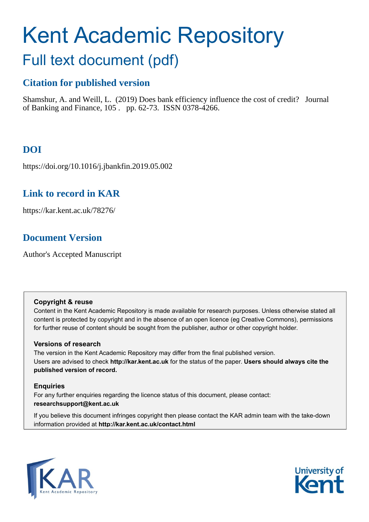# Kent Academic Repository

# Full text document (pdf)

## **Citation for published version**

Shamshur, A. and Weill, L. (2019) Does bank efficiency influence the cost of credit? Journal of Banking and Finance, 105 . pp. 62-73. ISSN 0378-4266.

## **DOI**

https://doi.org/10.1016/j.jbankfin.2019.05.002

## **Link to record in KAR**

https://kar.kent.ac.uk/78276/

## **Document Version**

Author's Accepted Manuscript

#### **Copyright & reuse**

Content in the Kent Academic Repository is made available for research purposes. Unless otherwise stated all content is protected by copyright and in the absence of an open licence (eg Creative Commons), permissions for further reuse of content should be sought from the publisher, author or other copyright holder.

#### **Versions of research**

The version in the Kent Academic Repository may differ from the final published version. Users are advised to check **http://kar.kent.ac.uk** for the status of the paper. **Users should always cite the published version of record.**

#### **Enquiries**

For any further enquiries regarding the licence status of this document, please contact: **researchsupport@kent.ac.uk**

If you believe this document infringes copyright then please contact the KAR admin team with the take-down information provided at **http://kar.kent.ac.uk/contact.html**



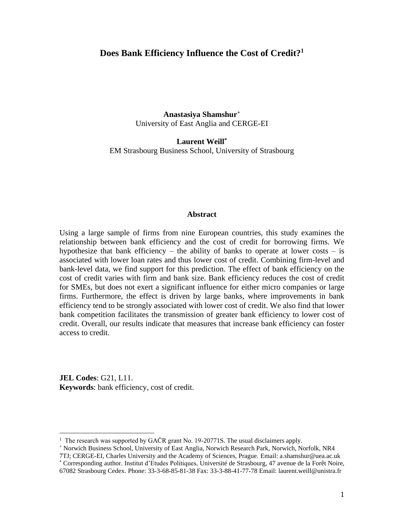#### **Does Bank Efficiency Influence the Cost of Credit?<sup>1</sup>**

**Anastasiya Shamshur<sup>+</sup>** University of East Anglia and CERGE-EI

**Laurent Weill\*** EM Strasbourg Business School, University of Strasbourg

#### **Abstract**

Using a large sample of firms from nine European countries, this study examines the relationship between bank efficiency and the cost of credit for borrowing firms. We hypothesize that bank efficiency – the ability of banks to operate at lower costs – is associated with lower loan rates and thus lower cost of credit. Combining firm-level and bank-level data, we find support for this prediction. The effect of bank efficiency on the cost of credit varies with firm and bank size. Bank efficiency reduces the cost of credit for SMEs, but does not exert a significant influence for either micro companies or large firms. Furthermore, the effect is driven by large banks, where improvements in bank efficiency tend to be strongly associated with lower cost of credit. We also find that lower bank competition facilitates the transmission of greater bank efficiency to lower cost of credit. Overall, our results indicate that measures that increase bank efficiency can foster access to credit.

**JEL Codes**: G21, L11. **Keywords**: bank efficiency, cost of credit.

<sup>&</sup>lt;sup>1</sup> The research was supported by GAČR grant No. 19-20771S. The usual disclaimers apply.

<sup>+</sup> Norwich Business School, University of East Anglia, Norwich Research Park, Norwich, Norfolk, NR4

<sup>7</sup>TJ; CERGE-EI, Charles University and the Academy of Sciences, Prague. Email: a.shamshur@uea.ac.uk \* Corresponding author. Institut d'Etudes Politiques, Université de Strasbourg, 47 avenue de la Forêt Noire,

<sup>67082</sup> Strasbourg Cedex. Phone: 33-3-68-85-81-38 Fax: 33-3-88-41-77-78 Email: laurent.weill@unistra.fr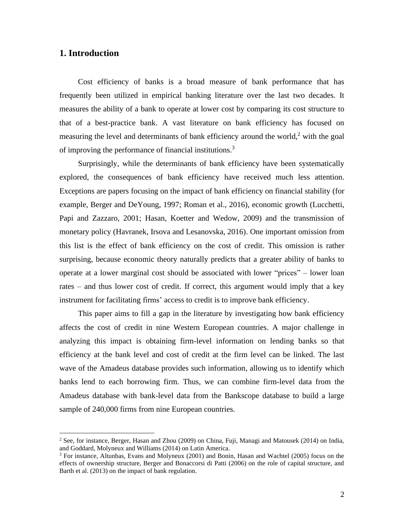#### **1. Introduction**

Cost efficiency of banks is a broad measure of bank performance that has frequently been utilized in empirical banking literature over the last two decades. It measures the ability of a bank to operate at lower cost by comparing its cost structure to that of a best-practice bank. A vast literature on bank efficiency has focused on measuring the level and determinants of bank efficiency around the world,<sup>2</sup> with the goal of improving the performance of financial institutions.<sup>3</sup>

Surprisingly, while the determinants of bank efficiency have been systematically explored, the consequences of bank efficiency have received much less attention. Exceptions are papers focusing on the impact of bank efficiency on financial stability (for example, Berger and DeYoung, 1997; Roman et al., 2016), economic growth (Lucchetti, Papi and Zazzaro, 2001; Hasan, Koetter and Wedow, 2009) and the transmission of monetary policy (Havranek, Irsova and Lesanovska, 2016). One important omission from this list is the effect of bank efficiency on the cost of credit. This omission is rather surprising, because economic theory naturally predicts that a greater ability of banks to operate at a lower marginal cost should be associated with lower "prices" – lower loan rates – and thus lower cost of credit. If correct, this argument would imply that a key instrument for facilitating firms' access to credit is to improve bank efficiency.

This paper aims to fill a gap in the literature by investigating how bank efficiency affects the cost of credit in nine Western European countries. A major challenge in analyzing this impact is obtaining firm-level information on lending banks so that efficiency at the bank level and cost of credit at the firm level can be linked. The last wave of the Amadeus database provides such information, allowing us to identify which banks lend to each borrowing firm. Thus, we can combine firm-level data from the Amadeus database with bank-level data from the Bankscope database to build a large sample of 240,000 firms from nine European countries.

<sup>2</sup> See, for instance, Berger, Hasan and Zhou (2009) on China, Fuji, Managi and Matousek (2014) on India, and Goddard, Molyneux and Williams (2014) on Latin America.

<sup>3</sup> For instance, Altunbas, Evans and Molyneux (2001) and Bonin, Hasan and Wachtel (2005) focus on the effects of ownership structure, Berger and Bonaccorsi di Patti (2006) on the role of capital structure, and Barth et al. (2013) on the impact of bank regulation.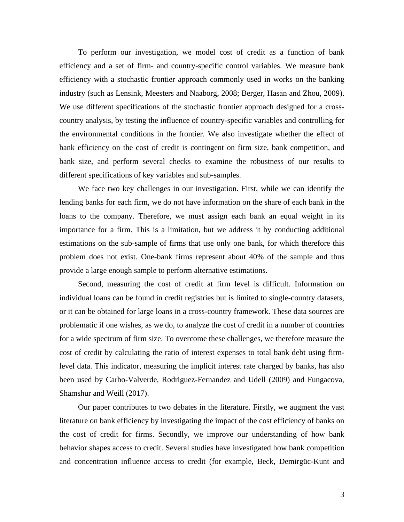To perform our investigation, we model cost of credit as a function of bank efficiency and a set of firm- and country-specific control variables. We measure bank efficiency with a stochastic frontier approach commonly used in works on the banking industry (such as Lensink, Meesters and Naaborg, 2008; Berger, Hasan and Zhou, 2009). We use different specifications of the stochastic frontier approach designed for a crosscountry analysis, by testing the influence of country-specific variables and controlling for the environmental conditions in the frontier. We also investigate whether the effect of bank efficiency on the cost of credit is contingent on firm size, bank competition, and bank size, and perform several checks to examine the robustness of our results to different specifications of key variables and sub-samples.

We face two key challenges in our investigation. First, while we can identify the lending banks for each firm, we do not have information on the share of each bank in the loans to the company. Therefore, we must assign each bank an equal weight in its importance for a firm. This is a limitation, but we address it by conducting additional estimations on the sub-sample of firms that use only one bank, for which therefore this problem does not exist. One-bank firms represent about 40% of the sample and thus provide a large enough sample to perform alternative estimations.

Second, measuring the cost of credit at firm level is difficult. Information on individual loans can be found in credit registries but is limited to single-country datasets, or it can be obtained for large loans in a cross-country framework. These data sources are problematic if one wishes, as we do, to analyze the cost of credit in a number of countries for a wide spectrum of firm size. To overcome these challenges, we therefore measure the cost of credit by calculating the ratio of interest expenses to total bank debt using firmlevel data. This indicator, measuring the implicit interest rate charged by banks, has also been used by Carbo-Valverde, Rodriguez-Fernandez and Udell (2009) and Fungacova, Shamshur and Weill (2017).

Our paper contributes to two debates in the literature. Firstly, we augment the vast literature on bank efficiency by investigating the impact of the cost efficiency of banks on the cost of credit for firms. Secondly, we improve our understanding of how bank behavior shapes access to credit. Several studies have investigated how bank competition and concentration influence access to credit (for example, Beck, Demirgüc-Kunt and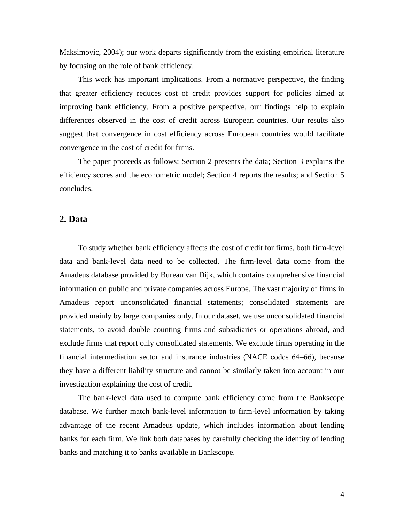Maksimovic, 2004); our work departs significantly from the existing empirical literature by focusing on the role of bank efficiency.

This work has important implications. From a normative perspective, the finding that greater efficiency reduces cost of credit provides support for policies aimed at improving bank efficiency. From a positive perspective, our findings help to explain differences observed in the cost of credit across European countries. Our results also suggest that convergence in cost efficiency across European countries would facilitate convergence in the cost of credit for firms.

The paper proceeds as follows: Section 2 presents the data; Section 3 explains the efficiency scores and the econometric model; Section 4 reports the results; and Section 5 concludes.

#### **2. Data**

To study whether bank efficiency affects the cost of credit for firms, both firm-level data and bank-level data need to be collected. The firm-level data come from the Amadeus database provided by Bureau van Dijk, which contains comprehensive financial information on public and private companies across Europe. The vast majority of firms in Amadeus report unconsolidated financial statements; consolidated statements are provided mainly by large companies only. In our dataset, we use unconsolidated financial statements, to avoid double counting firms and subsidiaries or operations abroad, and exclude firms that report only consolidated statements. We exclude firms operating in the financial intermediation sector and insurance industries (NACE codes 64‒66), because they have a different liability structure and cannot be similarly taken into account in our investigation explaining the cost of credit.

The bank-level data used to compute bank efficiency come from the Bankscope database. We further match bank-level information to firm-level information by taking advantage of the recent Amadeus update, which includes information about lending banks for each firm. We link both databases by carefully checking the identity of lending banks and matching it to banks available in Bankscope.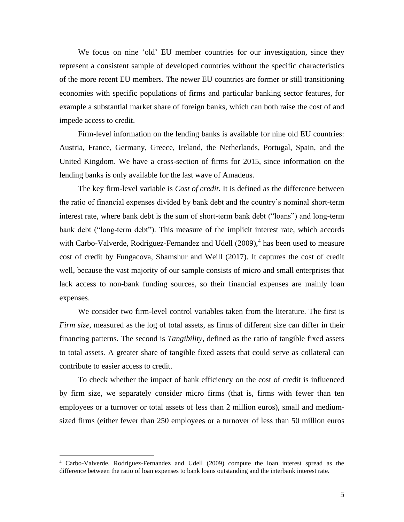We focus on nine 'old' EU member countries for our investigation, since they represent a consistent sample of developed countries without the specific characteristics of the more recent EU members. The newer EU countries are former or still transitioning economies with specific populations of firms and particular banking sector features, for example a substantial market share of foreign banks, which can both raise the cost of and impede access to credit.

Firm-level information on the lending banks is available for nine old EU countries: Austria, France, Germany, Greece, Ireland, the Netherlands, Portugal, Spain, and the United Kingdom. We have a cross-section of firms for 2015, since information on the lending banks is only available for the last wave of Amadeus.

The key firm-level variable is *Cost of credit.* It is defined as the difference between the ratio of financial expenses divided by bank debt and the country's nominal short-term interest rate, where bank debt is the sum of short-term bank debt ("loans") and long-term bank debt ("long-term debt"). This measure of the implicit interest rate, which accords with Carbo-Valverde, Rodriguez-Fernandez and Udell  $(2009)$ ,<sup>4</sup> has been used to measure cost of credit by Fungacova, Shamshur and Weill (2017). It captures the cost of credit well, because the vast majority of our sample consists of micro and small enterprises that lack access to non-bank funding sources, so their financial expenses are mainly loan expenses.

We consider two firm-level control variables taken from the literature. The first is *Firm size,* measured as the log of total assets, as firms of different size can differ in their financing patterns*.* The second is *Tangibility*, defined as the ratio of tangible fixed assets to total assets*.* A greater share of tangible fixed assets that could serve as collateral can contribute to easier access to credit.

To check whether the impact of bank efficiency on the cost of credit is influenced by firm size, we separately consider micro firms (that is, firms with fewer than ten employees or a turnover or total assets of less than 2 million euros), small and mediumsized firms (either fewer than 250 employees or a turnover of less than 50 million euros

<sup>4</sup> Carbo-Valverde, Rodriguez-Fernandez and Udell (2009) compute the loan interest spread as the difference between the ratio of loan expenses to bank loans outstanding and the interbank interest rate.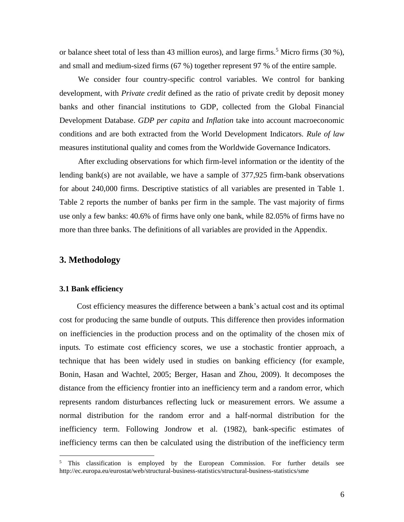or balance sheet total of less than 43 million euros), and large firms.<sup>5</sup> Micro firms (30 %), and small and medium-sized firms (67 %) together represent 97 % of the entire sample.

We consider four country-specific control variables. We control for banking development, with *Private credit* defined as the ratio of private credit by deposit money banks and other financial institutions to GDP, collected from the Global Financial Development Database. *GDP per capita* and *Inflation* take into account macroeconomic conditions and are both extracted from the World Development Indicators. *Rule of law* measures institutional quality and comes from the Worldwide Governance Indicators.

After excluding observations for which firm-level information or the identity of the lending bank(s) are not available, we have a sample of 377,925 firm-bank observations for about 240,000 firms. Descriptive statistics of all variables are presented in Table 1. Table 2 reports the number of banks per firm in the sample. The vast majority of firms use only a few banks: 40.6% of firms have only one bank, while 82.05% of firms have no more than three banks. The definitions of all variables are provided in the Appendix.

#### **3. Methodology**

#### **3.1 Bank efficiency**

Cost efficiency measures the difference between a bank's actual cost and its optimal cost for producing the same bundle of outputs. This difference then provides information on inefficiencies in the production process and on the optimality of the chosen mix of inputs*.* To estimate cost efficiency scores, we use a stochastic frontier approach, a technique that has been widely used in studies on banking efficiency (for example, Bonin, Hasan and Wachtel, 2005; Berger, Hasan and Zhou, 2009). It decomposes the distance from the efficiency frontier into an inefficiency term and a random error, which represents random disturbances reflecting luck or measurement errors. We assume a normal distribution for the random error and a half-normal distribution for the inefficiency term. Following Jondrow et al. (1982), bank-specific estimates of inefficiency terms can then be calculated using the distribution of the inefficiency term

<sup>&</sup>lt;sup>5</sup> This classification is employed by the European Commission. For further details see http://ec.europa.eu/eurostat/web/structural-business-statistics/structural-business-statistics/sme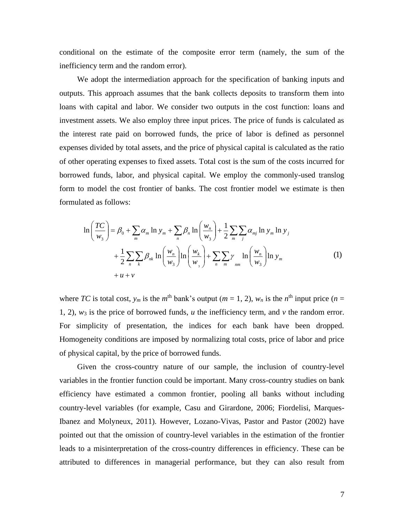conditional on the estimate of the composite error term (namely, the sum of the inefficiency term and the random error).

We adopt the intermediation approach for the specification of banking inputs and outputs. This approach assumes that the bank collects deposits to transform them into loans with capital and labor. We consider two outputs in the cost function: loans and investment assets. We also employ three input prices. The price of funds is calculated as the interest rate paid on borrowed funds, the price of labor is defined as personnel expenses divided by total assets, and the price of physical capital is calculated as the ratio of other operating expenses to fixed assets. Total cost is the sum of the costs incurred for borrowed funds, labor, and physical capital. We employ the commonly-used translog form to model the cost frontier of banks. The cost frontier model we estimate is then formulated as follows:

$$
\ln\left(\frac{TC}{w_3}\right) = \beta_0 + \sum_m \alpha_m \ln y_m + \sum_n \beta_n \ln\left(\frac{w_n}{w_3}\right) + \frac{1}{2} \sum_m \sum_j \alpha_{mj} \ln y_m \ln y_j
$$
  
+ 
$$
\frac{1}{2} \sum_n \sum_k \beta_{nk} \ln\left(\frac{w_n}{w_3}\right) \ln\left(\frac{w_k}{w_3}\right) + \sum_n \sum_m \gamma_m \ln\left(\frac{w_n}{w_3}\right) \ln y_m
$$
  
+ 
$$
u + v
$$
 (1)

where *TC* is total cost,  $y_m$  is the  $m^{\text{th}}$  bank's output ( $m = 1, 2$ ),  $w_n$  is the  $n^{\text{th}}$  input price ( $n =$ 1, 2),  $w_3$  is the price of borrowed funds, *u* the inefficiency term, and *v* the random error. For simplicity of presentation, the indices for each bank have been dropped. Homogeneity conditions are imposed by normalizing total costs, price of labor and price of physical capital, by the price of borrowed funds.

Given the cross-country nature of our sample, the inclusion of country-level variables in the frontier function could be important. Many cross-country studies on bank efficiency have estimated a common frontier, pooling all banks without including country-level variables (for example, Casu and Girardone, 2006; Fiordelisi, Marques-Ibanez and Molyneux, 2011). However, Lozano-Vivas, Pastor and Pastor (2002) have pointed out that the omission of country-level variables in the estimation of the frontier leads to a misinterpretation of the cross-country differences in efficiency. These can be attributed to differences in managerial performance, but they can also result from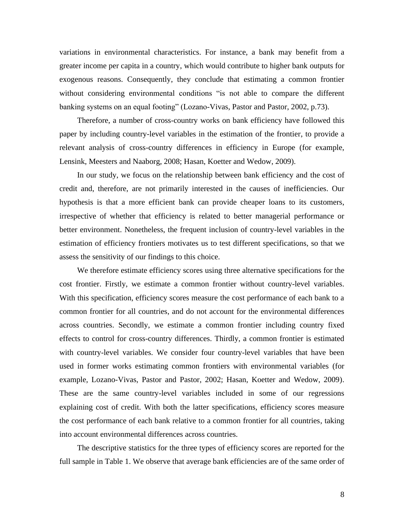variations in environmental characteristics. For instance, a bank may benefit from a greater income per capita in a country, which would contribute to higher bank outputs for exogenous reasons. Consequently, they conclude that estimating a common frontier without considering environmental conditions "is not able to compare the different banking systems on an equal footing" (Lozano-Vivas, Pastor and Pastor, 2002, p.73).

Therefore, a number of cross-country works on bank efficiency have followed this paper by including country-level variables in the estimation of the frontier, to provide a relevant analysis of cross-country differences in efficiency in Europe (for example, Lensink, Meesters and Naaborg, 2008; Hasan, Koetter and Wedow, 2009).

In our study, we focus on the relationship between bank efficiency and the cost of credit and, therefore, are not primarily interested in the causes of inefficiencies. Our hypothesis is that a more efficient bank can provide cheaper loans to its customers, irrespective of whether that efficiency is related to better managerial performance or better environment. Nonetheless, the frequent inclusion of country-level variables in the estimation of efficiency frontiers motivates us to test different specifications, so that we assess the sensitivity of our findings to this choice.

We therefore estimate efficiency scores using three alternative specifications for the cost frontier. Firstly, we estimate a common frontier without country-level variables. With this specification, efficiency scores measure the cost performance of each bank to a common frontier for all countries, and do not account for the environmental differences across countries. Secondly, we estimate a common frontier including country fixed effects to control for cross-country differences. Thirdly, a common frontier is estimated with country-level variables. We consider four country-level variables that have been used in former works estimating common frontiers with environmental variables (for example, Lozano-Vivas, Pastor and Pastor, 2002; Hasan, Koetter and Wedow, 2009). These are the same country-level variables included in some of our regressions explaining cost of credit. With both the latter specifications, efficiency scores measure the cost performance of each bank relative to a common frontier for all countries, taking into account environmental differences across countries.

The descriptive statistics for the three types of efficiency scores are reported for the full sample in Table 1. We observe that average bank efficiencies are of the same order of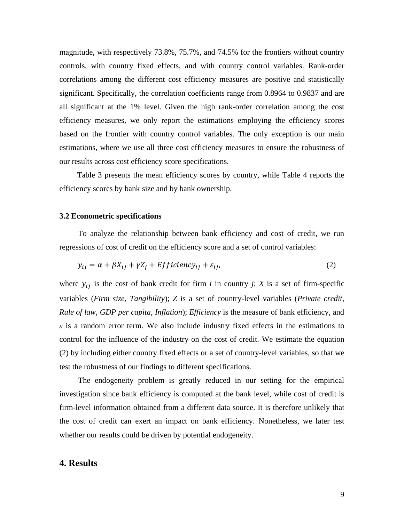magnitude, with respectively 73.8%, 75.7%, and 74.5% for the frontiers without country controls, with country fixed effects, and with country control variables. Rank-order correlations among the different cost efficiency measures are positive and statistically significant. Specifically, the correlation coefficients range from 0.8964 to 0.9837 and are all significant at the 1% level. Given the high rank-order correlation among the cost efficiency measures, we only report the estimations employing the efficiency scores based on the frontier with country control variables. The only exception is our main estimations, where we use all three cost efficiency measures to ensure the robustness of our results across cost efficiency score specifications.

Table 3 presents the mean efficiency scores by country, while Table 4 reports the efficiency scores by bank size and by bank ownership.

#### **3.2 Econometric specifications**

To analyze the relationship between bank efficiency and cost of credit, we run regressions of cost of credit on the efficiency score and a set of control variables:

$$
y_{ij} = \alpha + \beta X_{ij} + \gamma Z_j + Efficiency_{ij} + \varepsilon_{ij},
$$
\n(2)

where  $y_{ij}$  is the cost of bank credit for firm *i* in country *j*; *X* is a set of firm-specific variables (*Firm size, Tangibility*); *Z* is a set of country-level variables (*Private credit, Rule of law, GDP per capita, Inflation*); *Efficiency* is the measure of bank efficiency, and *ε* is a random error term. We also include industry fixed effects in the estimations to control for the influence of the industry on the cost of credit. We estimate the equation (2) by including either country fixed effects or a set of country-level variables, so that we test the robustness of our findings to different specifications.

The endogeneity problem is greatly reduced in our setting for the empirical investigation since bank efficiency is computed at the bank level, while cost of credit is firm-level information obtained from a different data source. It is therefore unlikely that the cost of credit can exert an impact on bank efficiency. Nonetheless, we later test whether our results could be driven by potential endogeneity.

#### **4. Results**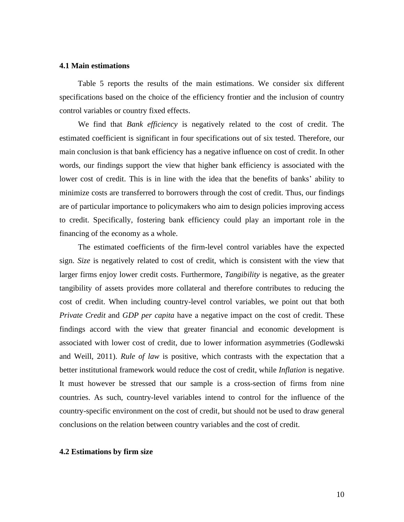#### **4.1 Main estimations**

Table 5 reports the results of the main estimations. We consider six different specifications based on the choice of the efficiency frontier and the inclusion of country control variables or country fixed effects.

We find that *Bank efficiency* is negatively related to the cost of credit. The estimated coefficient is significant in four specifications out of six tested. Therefore, our main conclusion is that bank efficiency has a negative influence on cost of credit. In other words, our findings support the view that higher bank efficiency is associated with the lower cost of credit. This is in line with the idea that the benefits of banks' ability to minimize costs are transferred to borrowers through the cost of credit. Thus, our findings are of particular importance to policymakers who aim to design policies improving access to credit. Specifically, fostering bank efficiency could play an important role in the financing of the economy as a whole.

The estimated coefficients of the firm-level control variables have the expected sign. *Size* is negatively related to cost of credit, which is consistent with the view that larger firms enjoy lower credit costs. Furthermore, *Tangibility* is negative, as the greater tangibility of assets provides more collateral and therefore contributes to reducing the cost of credit. When including country-level control variables, we point out that both *Private Credit* and *GDP per capita* have a negative impact on the cost of credit. These findings accord with the view that greater financial and economic development is associated with lower cost of credit, due to lower information asymmetries (Godlewski and Weill, 2011). *Rule of law* is positive, which contrasts with the expectation that a better institutional framework would reduce the cost of credit, while *Inflation* is negative. It must however be stressed that our sample is a cross-section of firms from nine countries. As such, country-level variables intend to control for the influence of the country-specific environment on the cost of credit, but should not be used to draw general conclusions on the relation between country variables and the cost of credit.

#### **4.2 Estimations by firm size**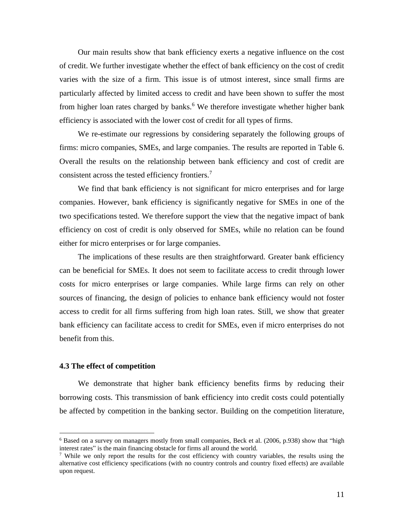Our main results show that bank efficiency exerts a negative influence on the cost of credit. We further investigate whether the effect of bank efficiency on the cost of credit varies with the size of a firm. This issue is of utmost interest, since small firms are particularly affected by limited access to credit and have been shown to suffer the most from higher loan rates charged by banks.<sup>6</sup> We therefore investigate whether higher bank efficiency is associated with the lower cost of credit for all types of firms.

We re-estimate our regressions by considering separately the following groups of firms: micro companies, SMEs, and large companies. The results are reported in Table 6. Overall the results on the relationship between bank efficiency and cost of credit are consistent across the tested efficiency frontiers.<sup>7</sup>

We find that bank efficiency is not significant for micro enterprises and for large companies. However, bank efficiency is significantly negative for SMEs in one of the two specifications tested. We therefore support the view that the negative impact of bank efficiency on cost of credit is only observed for SMEs, while no relation can be found either for micro enterprises or for large companies.

The implications of these results are then straightforward. Greater bank efficiency can be beneficial for SMEs. It does not seem to facilitate access to credit through lower costs for micro enterprises or large companies. While large firms can rely on other sources of financing, the design of policies to enhance bank efficiency would not foster access to credit for all firms suffering from high loan rates. Still, we show that greater bank efficiency can facilitate access to credit for SMEs, even if micro enterprises do not benefit from this.

#### **4.3 The effect of competition**

We demonstrate that higher bank efficiency benefits firms by reducing their borrowing costs. This transmission of bank efficiency into credit costs could potentially be affected by competition in the banking sector. Building on the competition literature,

 $6$  Based on a survey on managers mostly from small companies, Beck et al. (2006, p.938) show that "high interest rates" is the main financing obstacle for firms all around the world.

<sup>&</sup>lt;sup>7</sup> While we only report the results for the cost efficiency with country variables, the results using the alternative cost efficiency specifications (with no country controls and country fixed effects) are available upon request.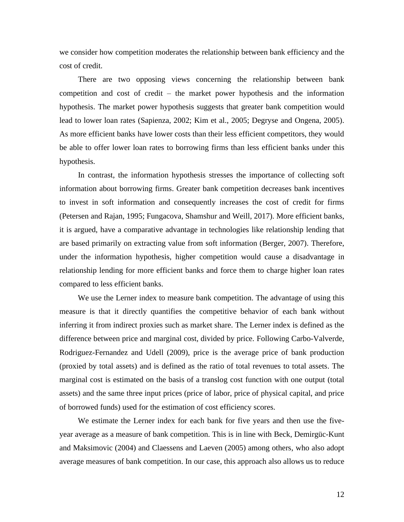we consider how competition moderates the relationship between bank efficiency and the cost of credit.

There are two opposing views concerning the relationship between bank competition and cost of credit – the market power hypothesis and the information hypothesis. The market power hypothesis suggests that greater bank competition would lead to lower loan rates (Sapienza, 2002; Kim et al., 2005; Degryse and Ongena, 2005). As more efficient banks have lower costs than their less efficient competitors, they would be able to offer lower loan rates to borrowing firms than less efficient banks under this hypothesis.

In contrast, the information hypothesis stresses the importance of collecting soft information about borrowing firms. Greater bank competition decreases bank incentives to invest in soft information and consequently increases the cost of credit for firms (Petersen and Rajan, 1995; Fungacova, Shamshur and Weill, 2017). More efficient banks, it is argued, have a comparative advantage in technologies like relationship lending that are based primarily on extracting value from soft information (Berger, 2007). Therefore, under the information hypothesis, higher competition would cause a disadvantage in relationship lending for more efficient banks and force them to charge higher loan rates compared to less efficient banks.

We use the Lerner index to measure bank competition. The advantage of using this measure is that it directly quantifies the competitive behavior of each bank without inferring it from indirect proxies such as market share. The Lerner index is defined as the difference between price and marginal cost, divided by price. Following Carbo-Valverde, Rodriguez-Fernandez and Udell (2009), price is the average price of bank production (proxied by total assets) and is defined as the ratio of total revenues to total assets. The marginal cost is estimated on the basis of a translog cost function with one output (total assets) and the same three input prices (price of labor, price of physical capital, and price of borrowed funds) used for the estimation of cost efficiency scores.

We estimate the Lerner index for each bank for five years and then use the fiveyear average as a measure of bank competition. This is in line with Beck, Demirgüc-Kunt and Maksimovic (2004) and Claessens and Laeven (2005) among others, who also adopt average measures of bank competition. In our case, this approach also allows us to reduce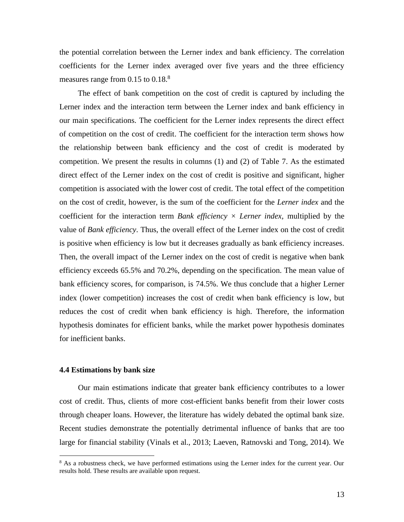the potential correlation between the Lerner index and bank efficiency. The correlation coefficients for the Lerner index averaged over five years and the three efficiency measures range from  $0.15$  to  $0.18<sup>8</sup>$ 

The effect of bank competition on the cost of credit is captured by including the Lerner index and the interaction term between the Lerner index and bank efficiency in our main specifications. The coefficient for the Lerner index represents the direct effect of competition on the cost of credit. The coefficient for the interaction term shows how the relationship between bank efficiency and the cost of credit is moderated by competition. We present the results in columns (1) and (2) of Table 7. As the estimated direct effect of the Lerner index on the cost of credit is positive and significant, higher competition is associated with the lower cost of credit. The total effect of the competition on the cost of credit, however, is the sum of the coefficient for the *Lerner index* and the coefficient for the interaction term *Bank efficiency × Lerner index,* multiplied by the value of *Bank efficiency*. Thus, the overall effect of the Lerner index on the cost of credit is positive when efficiency is low but it decreases gradually as bank efficiency increases. Then, the overall impact of the Lerner index on the cost of credit is negative when bank efficiency exceeds 65.5% and 70.2%, depending on the specification. The mean value of bank efficiency scores, for comparison, is 74.5%. We thus conclude that a higher Lerner index (lower competition) increases the cost of credit when bank efficiency is low, but reduces the cost of credit when bank efficiency is high. Therefore, the information hypothesis dominates for efficient banks, while the market power hypothesis dominates for inefficient banks.

#### **4.4 Estimations by bank size**

Our main estimations indicate that greater bank efficiency contributes to a lower cost of credit. Thus, clients of more cost-efficient banks benefit from their lower costs through cheaper loans. However, the literature has widely debated the optimal bank size. Recent studies demonstrate the potentially detrimental influence of banks that are too large for financial stability (Vinals et al., 2013; Laeven, Ratnovski and Tong, 2014). We

<sup>&</sup>lt;sup>8</sup> As a robustness check, we have performed estimations using the Lerner index for the current year. Our results hold. These results are available upon request.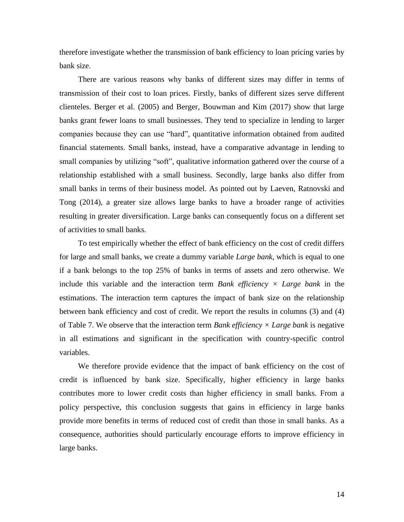therefore investigate whether the transmission of bank efficiency to loan pricing varies by bank size.

There are various reasons why banks of different sizes may differ in terms of transmission of their cost to loan prices. Firstly, banks of different sizes serve different clienteles. Berger et al. (2005) and Berger, Bouwman and Kim (2017) show that large banks grant fewer loans to small businesses. They tend to specialize in lending to larger companies because they can use "hard", quantitative information obtained from audited financial statements. Small banks, instead, have a comparative advantage in lending to small companies by utilizing "soft", qualitative information gathered over the course of a relationship established with a small business. Secondly, large banks also differ from small banks in terms of their business model. As pointed out by Laeven, Ratnovski and Tong (2014), a greater size allows large banks to have a broader range of activities resulting in greater diversification. Large banks can consequently focus on a different set of activities to small banks.

To test empirically whether the effect of bank efficiency on the cost of credit differs for large and small banks, we create a dummy variable *Large bank,* which is equal to one if a bank belongs to the top 25% of banks in terms of assets and zero otherwise. We include this variable and the interaction term *Bank efficiency*  $\times$  *Large bank* in the estimations. The interaction term captures the impact of bank size on the relationship between bank efficiency and cost of credit. We report the results in columns (3) and (4) of Table 7. We observe that the interaction term *Bank efficiency × Large bank* is negative in all estimations and significant in the specification with country-specific control variables.

We therefore provide evidence that the impact of bank efficiency on the cost of credit is influenced by bank size. Specifically, higher efficiency in large banks contributes more to lower credit costs than higher efficiency in small banks. From a policy perspective, this conclusion suggests that gains in efficiency in large banks provide more benefits in terms of reduced cost of credit than those in small banks. As a consequence, authorities should particularly encourage efforts to improve efficiency in large banks.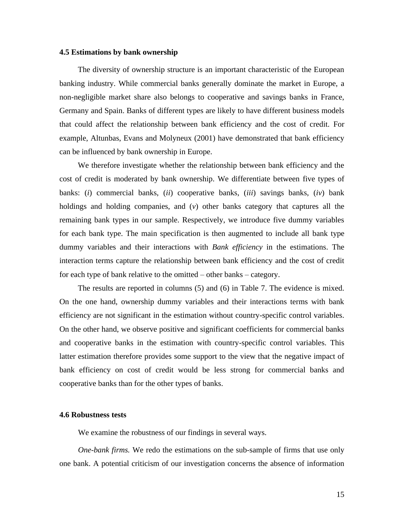#### **4.5 Estimations by bank ownership**

The diversity of ownership structure is an important characteristic of the European banking industry. While commercial banks generally dominate the market in Europe, a non-negligible market share also belongs to cooperative and savings banks in France, Germany and Spain. Banks of different types are likely to have different business models that could affect the relationship between bank efficiency and the cost of credit. For example, Altunbas, Evans and Molyneux (2001) have demonstrated that bank efficiency can be influenced by bank ownership in Europe.

We therefore investigate whether the relationship between bank efficiency and the cost of credit is moderated by bank ownership. We differentiate between five types of banks: (*i*) commercial banks, (*ii*) cooperative banks, (*iii*) savings banks, (*iv*) bank holdings and holding companies, and (*v*) other banks category that captures all the remaining bank types in our sample. Respectively, we introduce five dummy variables for each bank type. The main specification is then augmented to include all bank type dummy variables and their interactions with *Bank efficiency* in the estimations. The interaction terms capture the relationship between bank efficiency and the cost of credit for each type of bank relative to the omitted – other banks – category.

The results are reported in columns (5) and (6) in Table 7. The evidence is mixed. On the one hand, ownership dummy variables and their interactions terms with bank efficiency are not significant in the estimation without country-specific control variables. On the other hand, we observe positive and significant coefficients for commercial banks and cooperative banks in the estimation with country-specific control variables. This latter estimation therefore provides some support to the view that the negative impact of bank efficiency on cost of credit would be less strong for commercial banks and cooperative banks than for the other types of banks.

#### **4.6 Robustness tests**

We examine the robustness of our findings in several ways.

*One-bank firms.* We redo the estimations on the sub-sample of firms that use only one bank. A potential criticism of our investigation concerns the absence of information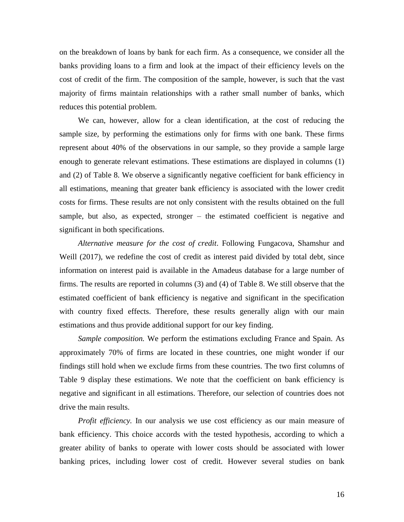on the breakdown of loans by bank for each firm. As a consequence, we consider all the banks providing loans to a firm and look at the impact of their efficiency levels on the cost of credit of the firm. The composition of the sample, however, is such that the vast majority of firms maintain relationships with a rather small number of banks, which reduces this potential problem.

We can, however, allow for a clean identification, at the cost of reducing the sample size, by performing the estimations only for firms with one bank. These firms represent about 40% of the observations in our sample, so they provide a sample large enough to generate relevant estimations. These estimations are displayed in columns (1) and (2) of Table 8. We observe a significantly negative coefficient for bank efficiency in all estimations, meaning that greater bank efficiency is associated with the lower credit costs for firms. These results are not only consistent with the results obtained on the full sample, but also, as expected, stronger – the estimated coefficient is negative and significant in both specifications.

*Alternative measure for the cost of credit*. Following Fungacova, Shamshur and Weill (2017), we redefine the cost of credit as interest paid divided by total debt, since information on interest paid is available in the Amadeus database for a large number of firms. The results are reported in columns (3) and (4) of Table 8. We still observe that the estimated coefficient of bank efficiency is negative and significant in the specification with country fixed effects. Therefore, these results generally align with our main estimations and thus provide additional support for our key finding.

*Sample composition.* We perform the estimations excluding France and Spain. As approximately 70% of firms are located in these countries, one might wonder if our findings still hold when we exclude firms from these countries. The two first columns of Table 9 display these estimations. We note that the coefficient on bank efficiency is negative and significant in all estimations. Therefore, our selection of countries does not drive the main results.

*Profit efficiency*. In our analysis we use cost efficiency as our main measure of bank efficiency. This choice accords with the tested hypothesis, according to which a greater ability of banks to operate with lower costs should be associated with lower banking prices, including lower cost of credit. However several studies on bank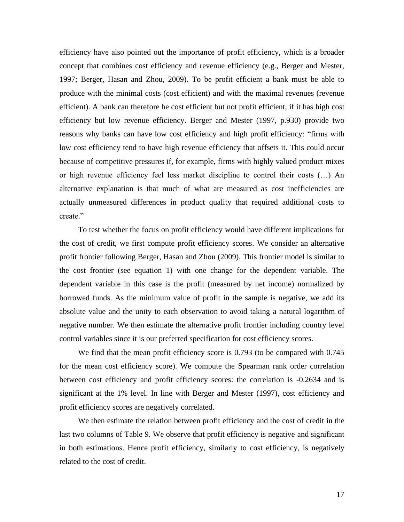efficiency have also pointed out the importance of profit efficiency, which is a broader concept that combines cost efficiency and revenue efficiency (e.g., Berger and Mester, 1997; Berger, Hasan and Zhou, 2009). To be profit efficient a bank must be able to produce with the minimal costs (cost efficient) and with the maximal revenues (revenue efficient). A bank can therefore be cost efficient but not profit efficient, if it has high cost efficiency but low revenue efficiency. Berger and Mester (1997, p.930) provide two reasons why banks can have low cost efficiency and high profit efficiency: "firms with low cost efficiency tend to have high revenue efficiency that offsets it. This could occur because of competitive pressures if, for example, firms with highly valued product mixes or high revenue efficiency feel less market discipline to control their costs (…) An alternative explanation is that much of what are measured as cost inefficiencies are actually unmeasured differences in product quality that required additional costs to create."

To test whether the focus on profit efficiency would have different implications for the cost of credit, we first compute profit efficiency scores. We consider an alternative profit frontier following Berger, Hasan and Zhou (2009). This frontier model is similar to the cost frontier (see equation 1) with one change for the dependent variable. The dependent variable in this case is the profit (measured by net income) normalized by borrowed funds. As the minimum value of profit in the sample is negative, we add its absolute value and the unity to each observation to avoid taking a natural logarithm of negative number. We then estimate the alternative profit frontier including country level control variables since it is our preferred specification for cost efficiency scores.

We find that the mean profit efficiency score is 0.793 (to be compared with 0.745 for the mean cost efficiency score). We compute the Spearman rank order correlation between cost efficiency and profit efficiency scores: the correlation is -0.2634 and is significant at the 1% level. In line with Berger and Mester (1997), cost efficiency and profit efficiency scores are negatively correlated.

We then estimate the relation between profit efficiency and the cost of credit in the last two columns of Table 9. We observe that profit efficiency is negative and significant in both estimations. Hence profit efficiency, similarly to cost efficiency, is negatively related to the cost of credit.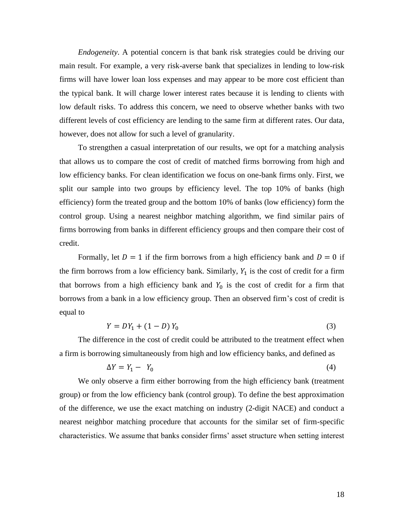*Endogeneity*. A potential concern is that bank risk strategies could be driving our main result. For example, a very risk-averse bank that specializes in lending to low-risk firms will have lower loan loss expenses and may appear to be more cost efficient than the typical bank. It will charge lower interest rates because it is lending to clients with low default risks. To address this concern, we need to observe whether banks with two different levels of cost efficiency are lending to the same firm at different rates. Our data, however, does not allow for such a level of granularity.

To strengthen a casual interpretation of our results, we opt for a matching analysis that allows us to compare the cost of credit of matched firms borrowing from high and low efficiency banks. For clean identification we focus on one-bank firms only. First, we split our sample into two groups by efficiency level. The top 10% of banks (high efficiency) form the treated group and the bottom 10% of banks (low efficiency) form the control group. Using a nearest neighbor matching algorithm, we find similar pairs of firms borrowing from banks in different efficiency groups and then compare their cost of credit.

Formally, let  $D = 1$  if the firm borrows from a high efficiency bank and  $D = 0$  if the firm borrows from a low efficiency bank. Similarly,  $Y_1$  is the cost of credit for a firm that borrows from a high efficiency bank and  $Y_0$  is the cost of credit for a firm that borrows from a bank in a low efficiency group. Then an observed firm's cost of credit is equal to

$$
Y = DY_1 + (1 - D) Y_0 \tag{3}
$$

The difference in the cost of credit could be attributed to the treatment effect when a firm is borrowing simultaneously from high and low efficiency banks, and defined as

$$
\Delta Y = Y_1 - Y_0 \tag{4}
$$

We only observe a firm either borrowing from the high efficiency bank (treatment group) or from the low efficiency bank (control group). To define the best approximation of the difference, we use the exact matching on industry (2-digit NACE) and conduct a nearest neighbor matching procedure that accounts for the similar set of firm-specific characteristics. We assume that banks consider firms' asset structure when setting interest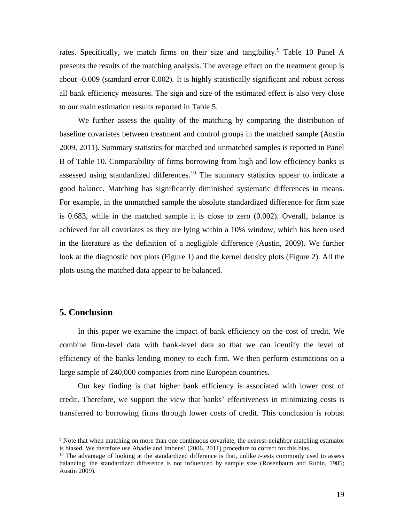rates. Specifically, we match firms on their size and tangibility. <sup>9</sup> Table 10 Panel A presents the results of the matching analysis. The average effect on the treatment group is about -0.009 (standard error 0.002). It is highly statistically significant and robust across all bank efficiency measures. The sign and size of the estimated effect is also very close to our main estimation results reported in Table 5.

We further assess the quality of the matching by comparing the distribution of baseline covariates between treatment and control groups in the matched sample (Austin 2009, 2011). Summary statistics for matched and unmatched samples is reported in Panel B of Table 10. Comparability of firms borrowing from high and low efficiency banks is assessed using standardized differences.<sup>10</sup> The summary statistics appear to indicate a good balance. Matching has significantly diminished systematic differences in means. For example, in the unmatched sample the absolute standardized difference for firm size is 0.683, while in the matched sample it is close to zero (0.002). Overall, balance is achieved for all covariates as they are lying within a 10% window, which has been used in the literature as the definition of a negligible difference (Austin, 2009). We further look at the diagnostic box plots (Figure 1) and the kernel density plots (Figure 2). All the plots using the matched data appear to be balanced.

#### **5. Conclusion**

In this paper we examine the impact of bank efficiency on the cost of credit. We combine firm-level data with bank-level data so that we can identify the level of efficiency of the banks lending money to each firm. We then perform estimations on a large sample of 240,000 companies from nine European countries.

Our key finding is that higher bank efficiency is associated with lower cost of credit. Therefore, we support the view that banks' effectiveness in minimizing costs is transferred to borrowing firms through lower costs of credit. This conclusion is robust

<sup>9</sup> Note that when matching on more than one continuous covariate, the nearest-neighbor matching estimator is biased. We therefore use Abadie and Imbens' (2006, 2011) procedure to correct for this bias.

<sup>10</sup> The advantage of looking at the standardized difference is that, unlike *t*-tests commonly used to assess balancing, the standardized difference is not influenced by sample size (Rosenbaum and Rubin, 1985; Austin 2009).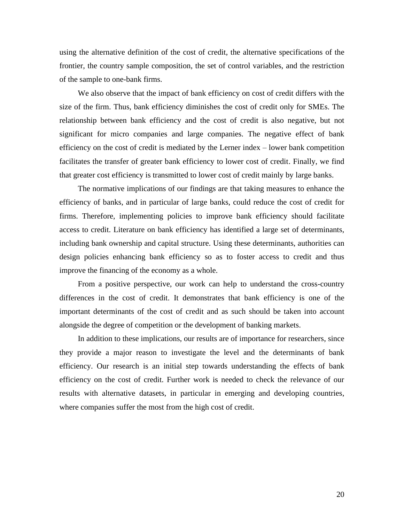using the alternative definition of the cost of credit, the alternative specifications of the frontier, the country sample composition, the set of control variables, and the restriction of the sample to one-bank firms.

We also observe that the impact of bank efficiency on cost of credit differs with the size of the firm. Thus, bank efficiency diminishes the cost of credit only for SMEs. The relationship between bank efficiency and the cost of credit is also negative, but not significant for micro companies and large companies. The negative effect of bank efficiency on the cost of credit is mediated by the Lerner index – lower bank competition facilitates the transfer of greater bank efficiency to lower cost of credit. Finally, we find that greater cost efficiency is transmitted to lower cost of credit mainly by large banks.

The normative implications of our findings are that taking measures to enhance the efficiency of banks, and in particular of large banks, could reduce the cost of credit for firms. Therefore, implementing policies to improve bank efficiency should facilitate access to credit. Literature on bank efficiency has identified a large set of determinants, including bank ownership and capital structure. Using these determinants, authorities can design policies enhancing bank efficiency so as to foster access to credit and thus improve the financing of the economy as a whole.

From a positive perspective, our work can help to understand the cross-country differences in the cost of credit. It demonstrates that bank efficiency is one of the important determinants of the cost of credit and as such should be taken into account alongside the degree of competition or the development of banking markets.

In addition to these implications, our results are of importance for researchers, since they provide a major reason to investigate the level and the determinants of bank efficiency. Our research is an initial step towards understanding the effects of bank efficiency on the cost of credit. Further work is needed to check the relevance of our results with alternative datasets, in particular in emerging and developing countries, where companies suffer the most from the high cost of credit.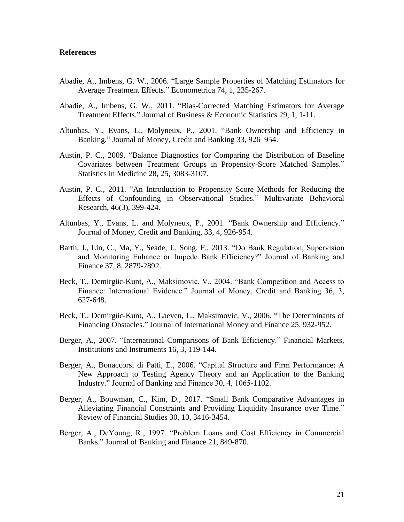#### **References**

- Abadie, A., Imbens, G. W., 2006. "Large Sample Properties of Matching Estimators for Average Treatment Effects." Econometrica 74, 1, 235-267.
- Abadie, A., Imbens, G. W., 2011. "Bias-Corrected Matching Estimators for Average Treatment Effects." Journal of Business & Economic Statistics 29, 1, 1-11.
- Altunbas, Y., Evans, L., Molyneux, P., 2001. "Bank Ownership and Efficiency in Banking." Journal of Money, Credit and Banking 33, 926–954.
- Austin, P. C., 2009. "Balance Diagnostics for Comparing the Distribution of Baseline Covariates between Treatment Groups in Propensity-Score Matched Samples." Statistics in Medicine 28, 25, 3083-3107.
- Austin, P. C., 2011. "An Introduction to Propensity Score Methods for Reducing the Effects of Confounding in Observational Studies." Multivariate Behavioral Research, 46(3), 399-424.
- Altunbas, Y., Evans, L. and Molyneux, P., 2001. "Bank Ownership and Efficiency." Journal of Money, Credit and Banking, 33, 4, 926-954.
- Barth, J., Lin, C., Ma, Y., Seade, J., Song, F., 2013. "Do Bank Regulation, Supervision and Monitoring Enhance or Impede Bank Efficiency?" Journal of Banking and Finance 37, 8, 2879-2892.
- Beck, T., Demirgüc-Kunt, A., Maksimovic, V., 2004. "Bank Competition and Access to Finance: International Evidence." Journal of Money, Credit and Banking 36, 3, 627-648.
- Beck, T., Demirgüc-Kunt, A., Laeven, L., Maksimovic, V., 2006. "The Determinants of Financing Obstacles." Journal of International Money and Finance 25, 932-952.
- Berger, A., 2007. "International Comparisons of Bank Efficiency." Financial Markets, Institutions and Instruments 16, 3, 119-144.
- Berger, A., Bonaccorsi di Patti, E., 2006. "Capital Structure and Firm Performance: A New Approach to Testing Agency Theory and an Application to the Banking Industry." Journal of Banking and Finance 30, 4, 1065-1102.
- Berger, A., Bouwman, C., Kim, D., 2017. "Small Bank Comparative Advantages in Alleviating Financial Constraints and Providing Liquidity Insurance over Time." Review of Financial Studies 30, 10, 3416-3454.
- Berger, A., DeYoung, R., 1997. "Problem Loans and Cost Efficiency in Commercial Banks." Journal of Banking and Finance 21, 849-870.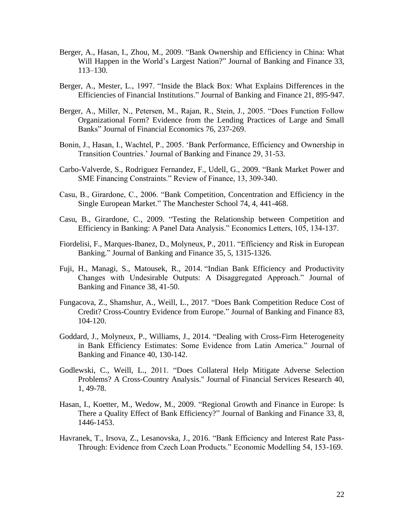- Berger, A., Hasan, I., Zhou, M., 2009. "Bank Ownership and Efficiency in China: What Will Happen in the World's Largest Nation?" Journal of Banking and Finance 33, 113–130.
- Berger, A., Mester, L., 1997. "Inside the Black Box: What Explains Differences in the Efficiencies of Financial Institutions." Journal of Banking and Finance 21, 895-947.
- Berger, A., Miller, N., Petersen, M., Rajan, R., Stein, J., 2005. "Does Function Follow Organizational Form? Evidence from the Lending Practices of Large and Small Banks" Journal of Financial Economics 76, 237-269.
- Bonin, J., Hasan, I., Wachtel, P., 2005. 'Bank Performance, Efficiency and Ownership in Transition Countries.' Journal of Banking and Finance 29, 31-53.
- Carbo-Valverde, S., Rodriguez Fernandez, F., Udell, G., 2009. "Bank Market Power and SME Financing Constraints." Review of Finance, 13, 309-340.
- Casu, B., Girardone, C., 2006. "Bank Competition, Concentration and Efficiency in the Single European Market." The Manchester School 74, 4, 441-468.
- Casu, B., Girardone, C., 2009. "Testing the Relationship between Competition and Efficiency in Banking: A Panel Data Analysis." Economics Letters, 105, 134-137.
- Fiordelisi, F., Marques-Ibanez, D., Molyneux, P., 2011. "Efficiency and Risk in European Banking." Journal of Banking and Finance 35, 5, 1315-1326.
- Fuji, H., Managi, S., Matousek, R., 2014. "Indian Bank Efficiency and Productivity Changes with Undesirable Outputs: A Disaggregated Approach." Journal of Banking and Finance 38, 41-50.
- Fungacova, Z., Shamshur, A., Weill, L., 2017. "Does Bank Competition Reduce Cost of Credit? Cross-Country Evidence from Europe." Journal of Banking and Finance 83, 104-120.
- Goddard, J., Molyneux, P., Williams, J., 2014. "Dealing with Cross-Firm Heterogeneity in Bank Efficiency Estimates: Some Evidence from Latin America." Journal of Banking and Finance 40, 130-142.
- Godlewski, C., Weill, L., 2011. "Does Collateral Help Mitigate Adverse Selection Problems? A Cross-Country Analysis." Journal of Financial Services Research 40, 1, 49-78.
- Hasan, I., Koetter, M., Wedow, M., 2009. "Regional Growth and Finance in Europe: Is There a Quality Effect of Bank Efficiency?" Journal of Banking and Finance 33, 8, 1446-1453.
- Havranek, T., Irsova, Z., Lesanovska, J., 2016. "Bank Efficiency and Interest Rate Pass-Through: Evidence from Czech Loan Products." Economic Modelling 54, 153-169.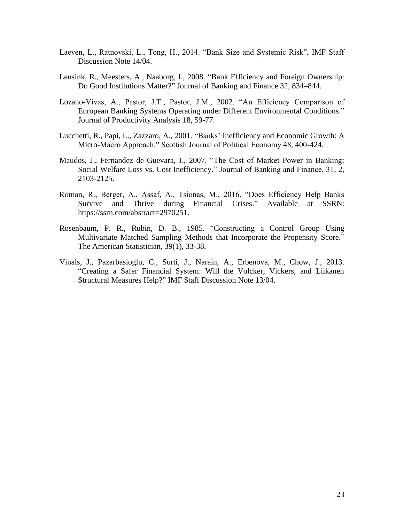- Laeven, L., Ratnovski, L., Tong, H., 2014. "Bank Size and Systemic Risk", IMF Staff Discussion Note 14/04.
- Lensink, R., Meesters, A., Naaborg, I., 2008. "Bank Efficiency and Foreign Ownership: Do Good Institutions Matter?" Journal of Banking and Finance 32, 834–844.
- Lozano-Vivas, A., Pastor, J.T., Pastor, J.M., 2002. "An Efficiency Comparison of European Banking Systems Operating under Different Environmental Conditions." Journal of Productivity Analysis 18, 59-77.
- Lucchetti, R., Papi, L., Zazzaro, A., 2001. "Banks' Inefficiency and Economic Growth: A Micro-Macro Approach." Scottish Journal of Political Economy 48, 400-424.
- Maudos, J., Fernandez de Guevara, J., 2007. "The Cost of Market Power in Banking: Social Welfare Loss vs. Cost Inefficiency." Journal of Banking and Finance, 31, 2, 2103-2125.
- Roman, R., Berger, A., Assaf, A., Tsionas, M., 2016. "Does Efficiency Help Banks Survive and Thrive during Financial Crises." Available at SSRN: https://ssrn.com/abstract=2970251.
- Rosenbaum, P. R., Rubin, D. B., 1985. "Constructing a Control Group Using Multivariate Matched Sampling Methods that Incorporate the Propensity Score." The American Statistician, 39(1), 33-38.
- Vinals, J., Pazarbasioglu, C., Surti, J., Narain, A., Erbenova, M., Chow, J., 2013. "Creating a Safer Financial System: Will the Volcker, Vickers, and Liikanen Structural Measures Help?" IMF Staff Discussion Note 13/04.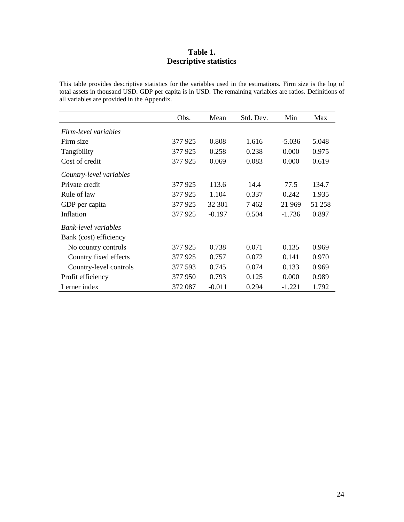#### **Table 1. Descriptive statistics**

This table provides descriptive statistics for the variables used in the estimations. Firm size is the log of total assets in thousand USD. GDP per capita is in USD. The remaining variables are ratios. Definitions of all variables are provided in the Appendix.

|                         | Obs.    | Mean     | Std. Dev. | Min      | Max    |
|-------------------------|---------|----------|-----------|----------|--------|
| Firm-level variables    |         |          |           |          |        |
| Firm size               | 377 925 | 0.808    | 1.616     | $-5.036$ | 5.048  |
| Tangibility             | 377 925 | 0.258    | 0.238     | 0.000    | 0.975  |
| Cost of credit          | 377 925 | 0.069    | 0.083     | 0.000    | 0.619  |
| Country-level variables |         |          |           |          |        |
| Private credit          | 377925  | 113.6    | 14.4      | 77.5     | 134.7  |
| Rule of law             | 377 925 | 1.104    | 0.337     | 0.242    | 1.935  |
| GDP per capita          | 377925  | 32 301   | 7462      | 21 969   | 51 258 |
| Inflation               | 377925  | $-0.197$ | 0.504     | $-1.736$ | 0.897  |
| Bank-level variables    |         |          |           |          |        |
| Bank (cost) efficiency  |         |          |           |          |        |
| No country controls     | 377 925 | 0.738    | 0.071     | 0.135    | 0.969  |
| Country fixed effects   | 377 925 | 0.757    | 0.072     | 0.141    | 0.970  |
| Country-level controls  | 377 593 | 0.745    | 0.074     | 0.133    | 0.969  |
| Profit efficiency       | 377950  | 0.793    | 0.125     | 0.000    | 0.989  |
| Lerner index            | 372 087 | $-0.011$ | 0.294     | $-1.221$ | 1.792  |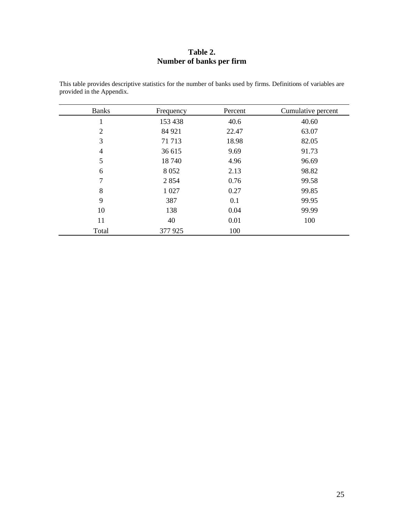#### **Table 2. Number of banks per firm**

| <b>Banks</b> | Frequency | Percent | Cumulative percent |
|--------------|-----------|---------|--------------------|
| 1            | 153 438   | 40.6    | 40.60              |
| 2            | 84 921    | 22.47   | 63.07              |
| 3            | 71 713    | 18.98   | 82.05              |
| 4            | 36 615    | 9.69    | 91.73              |
| 5            | 18740     | 4.96    | 96.69              |
| 6            | 8 0 5 2   | 2.13    | 98.82              |
| 7            | 2 8 5 4   | 0.76    | 99.58              |
| 8            | 1 0 27    | 0.27    | 99.85              |
| 9            | 387       | 0.1     | 99.95              |
| 10           | 138       | 0.04    | 99.99              |
| 11           | 40        | 0.01    | 100                |
| Total        | 377 925   | 100     |                    |

This table provides descriptive statistics for the number of banks used by firms. Definitions of variables are provided in the Appendix.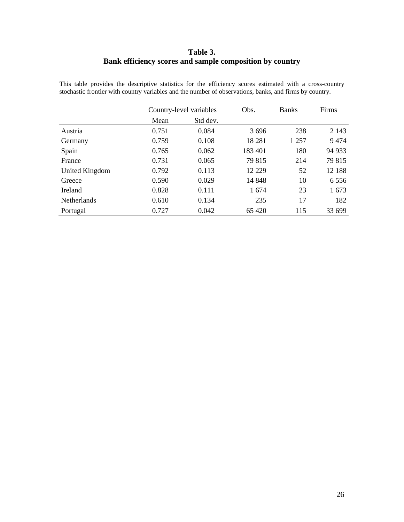#### **Table 3. Bank efficiency scores and sample composition by country**

|                    |       | Country-level variables |          | <b>Banks</b> | Firms   |
|--------------------|-------|-------------------------|----------|--------------|---------|
|                    | Mean  | Std dev.                |          |              |         |
| Austria            | 0.751 | 0.084                   | 3696     | 238          | 2 1 4 3 |
| Germany            | 0.759 | 0.108                   | 18 28 1  | 1 257        | 9474    |
| Spain              | 0.765 | 0.062                   | 183 401  | 180          | 94 933  |
| France             | 0.731 | 0.065                   | 79 815   | 214          | 79 815  |
| United Kingdom     | 0.792 | 0.113                   | 12 2 2 9 | 52           | 12 188  |
| Greece             | 0.590 | 0.029                   | 14 848   | 10           | 6556    |
| Ireland            | 0.828 | 0.111                   | 1674     | 23           | 1673    |
| <b>Netherlands</b> | 0.610 | 0.134                   | 235      | 17           | 182     |
| Portugal           | 0.727 | 0.042                   | 65 4 20  | 115          | 33 699  |

This table provides the descriptive statistics for the efficiency scores estimated with a cross-country stochastic frontier with country variables and the number of observations, banks, and firms by country.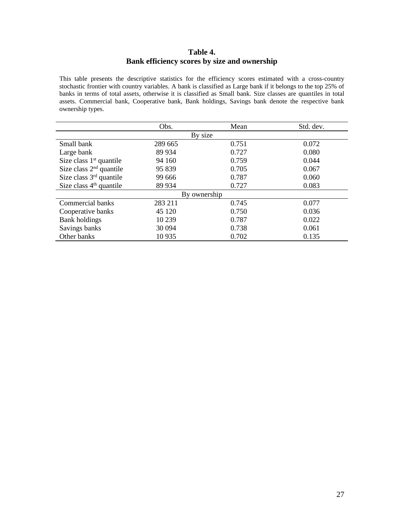#### **Table 4. Bank efficiency scores by size and ownership**

This table presents the descriptive statistics for the efficiency scores estimated with a cross-country stochastic frontier with country variables. A bank is classified as Large bank if it belongs to the top 25% of banks in terms of total assets, otherwise it is classified as Small bank. Size classes are quantiles in total assets. Commercial bank, Cooperative bank, Bank holdings, Savings bank denote the respective bank ownership types.

|                           | Obs.         | Mean  | Std. dev. |  |  |  |  |  |
|---------------------------|--------------|-------|-----------|--|--|--|--|--|
|                           | By size      |       |           |  |  |  |  |  |
| Small bank                | 289 665      | 0.751 | 0.072     |  |  |  |  |  |
| Large bank                | 89 934       | 0.727 | 0.080     |  |  |  |  |  |
| Size class $1st$ quantile | 94 160       | 0.759 | 0.044     |  |  |  |  |  |
| Size class $2nd$ quantile | 95 839       | 0.705 | 0.067     |  |  |  |  |  |
| Size class $3rd$ quantile | 99 666       | 0.787 | 0.060     |  |  |  |  |  |
| Size class $4th$ quantile | 89 934       | 0.727 | 0.083     |  |  |  |  |  |
|                           | By ownership |       |           |  |  |  |  |  |
| Commercial banks          | 283 211      | 0.745 | 0.077     |  |  |  |  |  |
| Cooperative banks         | 45 1 20      | 0.750 | 0.036     |  |  |  |  |  |
| <b>Bank holdings</b>      | 10 239       | 0.787 | 0.022     |  |  |  |  |  |
| Savings banks             | 30 094       | 0.738 | 0.061     |  |  |  |  |  |
| Other banks               | 10 9 35      | 0.702 | 0.135     |  |  |  |  |  |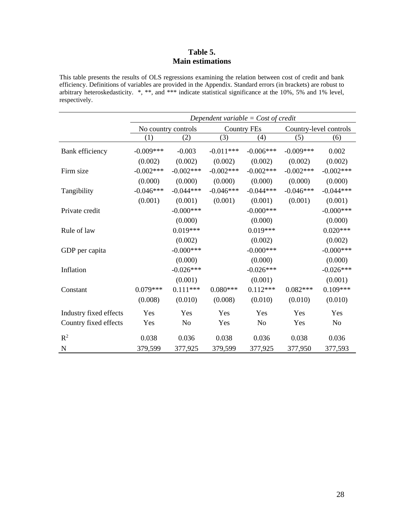#### **Table 5. Main estimations**

This table presents the results of OLS regressions examining the relation between cost of credit and bank efficiency. Definitions of variables are provided in the Appendix. Standard errors (in brackets) are robust to arbitrary heteroskedasticity. \*, \*\*, and \*\*\* indicate statistical significance at the 10%, 5% and 1% level, respectively.

|                        | Dependent variable = $Cost of credit$ |                     |             |                    |             |                        |  |
|------------------------|---------------------------------------|---------------------|-------------|--------------------|-------------|------------------------|--|
|                        |                                       | No country controls |             | <b>Country FEs</b> |             | Country-level controls |  |
|                        | (1)                                   | (2)                 | (3)         | (4)                | (5)         | (6)                    |  |
| Bank efficiency        | $-0.009***$                           | $-0.003$            | $-0.011***$ | $-0.006***$        | $-0.009***$ | 0.002                  |  |
|                        | (0.002)                               | (0.002)             | (0.002)     | (0.002)            | (0.002)     | (0.002)                |  |
| Firm size              | $-0.002***$                           | $-0.002***$         | $-0.002***$ | $-0.002***$        | $-0.002***$ | $-0.002***$            |  |
|                        | (0.000)                               | (0.000)             | (0.000)     | (0.000)            | (0.000)     | (0.000)                |  |
| Tangibility            | $-0.046***$                           | $-0.044***$         | $-0.046***$ | $-0.044***$        | $-0.046***$ | $-0.044***$            |  |
|                        | (0.001)                               | (0.001)             | (0.001)     | (0.001)            | (0.001)     | (0.001)                |  |
| Private credit         |                                       | $-0.000$ ***        |             | $-0.000$ ***       |             | $-0.000***$            |  |
|                        |                                       | (0.000)             |             | (0.000)            |             | (0.000)                |  |
| Rule of law            |                                       | $0.019***$          |             | $0.019***$         |             | $0.020***$             |  |
|                        |                                       | (0.002)             |             | (0.002)            |             | (0.002)                |  |
| GDP per capita         |                                       | $-0.000$ ***        |             | $-0.000$ ***       |             | $-0.000$ ***           |  |
|                        |                                       | (0.000)             |             | (0.000)            |             | (0.000)                |  |
| Inflation              |                                       | $-0.026***$         |             | $-0.026***$        |             | $-0.026***$            |  |
|                        |                                       | (0.001)             |             | (0.001)            |             | (0.001)                |  |
| Constant               | $0.079***$                            | $0.111***$          | $0.080***$  | $0.112***$         | $0.082***$  | $0.109***$             |  |
|                        | (0.008)                               | (0.010)             | (0.008)     | (0.010)            | (0.010)     | (0.010)                |  |
| Industry fixed effects | Yes                                   | Yes                 | Yes         | Yes                | Yes         | Yes                    |  |
| Country fixed effects  | Yes                                   | N <sub>o</sub>      | Yes         | No                 | Yes         | N <sub>o</sub>         |  |
| $R^2$                  | 0.038                                 | 0.036               | 0.038       | 0.036              | 0.038       | 0.036                  |  |
| $\mathbf N$            | 379,599                               | 377,925             | 379,599     | 377,925            | 377,950     | 377,593                |  |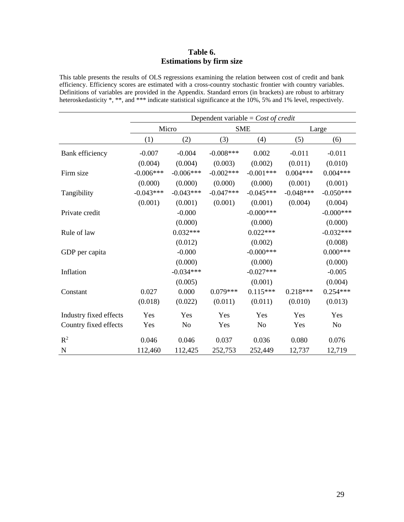#### **Table 6. Estimations by firm size**

This table presents the results of OLS regressions examining the relation between cost of credit and bank efficiency. Efficiency scores are estimated with a cross-country stochastic frontier with country variables. Definitions of variables are provided in the Appendix. Standard errors (in brackets) are robust to arbitrary heteroskedasticity \*, \*\*, and \*\*\* indicate statistical significance at the 10%, 5% and 1% level, respectively.

|                        | Dependent variable = $Cost of credit$ |             |             |              |             |                |  |
|------------------------|---------------------------------------|-------------|-------------|--------------|-------------|----------------|--|
|                        |                                       | Micro       |             | <b>SME</b>   |             | Large          |  |
|                        | (1)                                   | (2)         | (3)         | (4)          | (5)         | (6)            |  |
| Bank efficiency        | $-0.007$                              | $-0.004$    | $-0.008***$ | 0.002        | $-0.011$    | $-0.011$       |  |
|                        | (0.004)                               | (0.004)     | (0.003)     | (0.002)      | (0.011)     | (0.010)        |  |
| Firm size              | $-0.006***$                           | $-0.006***$ | $-0.002***$ | $-0.001***$  | $0.004***$  | $0.004***$     |  |
|                        | (0.000)                               | (0.000)     | (0.000)     | (0.000)      | (0.001)     | (0.001)        |  |
| Tangibility            | $-0.043***$                           | $-0.043***$ | $-0.047***$ | $-0.045***$  | $-0.048***$ | $-0.050***$    |  |
|                        | (0.001)                               | (0.001)     | (0.001)     | (0.001)      | (0.004)     | (0.004)        |  |
| Private credit         |                                       | $-0.000$    |             | $-0.000$ *** |             | $-0.000$ ***   |  |
|                        |                                       | (0.000)     |             | (0.000)      |             | (0.000)        |  |
| Rule of law            |                                       | $0.032***$  |             | $0.022***$   |             | $-0.032***$    |  |
|                        |                                       | (0.012)     |             | (0.002)      |             | (0.008)        |  |
| GDP per capita         |                                       | $-0.000$    |             | $-0.000$ *** |             | $0.000***$     |  |
|                        |                                       | (0.000)     |             | (0.000)      |             | (0.000)        |  |
| Inflation              |                                       | $-0.034***$ |             | $-0.027***$  |             | $-0.005$       |  |
|                        |                                       | (0.005)     |             | (0.001)      |             | (0.004)        |  |
| Constant               | 0.027                                 | 0.000       | $0.079***$  | $0.115***$   | $0.218***$  | $0.254***$     |  |
|                        | (0.018)                               | (0.022)     | (0.011)     | (0.011)      | (0.010)     | (0.013)        |  |
| Industry fixed effects | Yes                                   | Yes         | Yes         | Yes          | Yes         | Yes            |  |
| Country fixed effects  | Yes                                   | No          | Yes         | No           | Yes         | N <sub>o</sub> |  |
| $R^2$                  | 0.046                                 | 0.046       | 0.037       | 0.036        | 0.080       | 0.076          |  |
|                        |                                       |             |             |              |             |                |  |
| $\mathbf N$            | 112,460                               | 112,425     | 252,753     | 252,449      | 12,737      | 12,719         |  |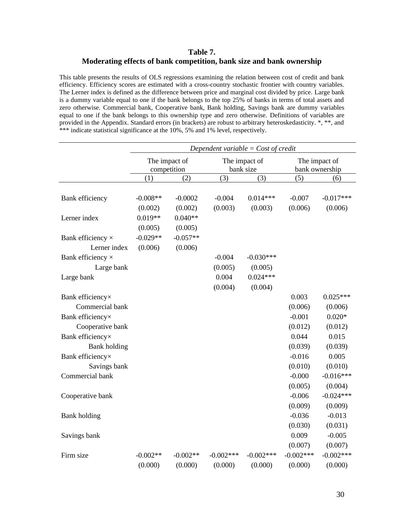#### **Table 7. Moderating effects of bank competition, bank size and bank ownership**

This table presents the results of OLS regressions examining the relation between cost of credit and bank efficiency. Efficiency scores are estimated with a cross-country stochastic frontier with country variables. The Lerner index is defined as the difference between price and marginal cost divided by price. Large bank is a dummy variable equal to one if the bank belongs to the top 25% of banks in terms of total assets and zero otherwise. Commercial bank, Cooperative bank, Bank holding, Savings bank are dummy variables equal to one if the bank belongs to this ownership type and zero otherwise. Definitions of variables are provided in the Appendix. Standard errors (in brackets) are robust to arbitrary heteroskedasticity. \*, \*\*, and \*\*\* indicate statistical significance at the 10%, 5% and 1% level, respectively.

|                          | Dependent variable = $Cost of credit$ |               |             |                            |             |                                 |
|--------------------------|---------------------------------------|---------------|-------------|----------------------------|-------------|---------------------------------|
|                          | competition                           | The impact of |             | The impact of<br>bank size |             | The impact of<br>bank ownership |
|                          | (1)                                   | (2)           | (3)         | (3)                        | (5)         | (6)                             |
|                          |                                       |               |             |                            |             |                                 |
| Bank efficiency          | $-0.008**$                            | $-0.0002$     | $-0.004$    | $0.014***$                 | $-0.007$    | $-0.017***$                     |
|                          | (0.002)                               | (0.002)       | (0.003)     | (0.003)                    | (0.006)     | (0.006)                         |
| Lerner index             | $0.019**$                             | $0.040**$     |             |                            |             |                                 |
|                          | (0.005)                               | (0.005)       |             |                            |             |                                 |
| Bank efficiency $\times$ | $-0.029**$                            | $-0.057**$    |             |                            |             |                                 |
| Lerner index             | (0.006)                               | (0.006)       |             |                            |             |                                 |
| Bank efficiency $\times$ |                                       |               | $-0.004$    | $-0.030***$                |             |                                 |
| Large bank               |                                       |               | (0.005)     | (0.005)                    |             |                                 |
| Large bank               |                                       |               | 0.004       | $0.024***$                 |             |                                 |
|                          |                                       |               | (0.004)     | (0.004)                    |             |                                 |
| Bank efficiency×         |                                       |               |             |                            | 0.003       | $0.025***$                      |
| Commercial bank          |                                       |               |             |                            | (0.006)     | (0.006)                         |
| Bank efficiency×         |                                       |               |             |                            | $-0.001$    | $0.020*$                        |
| Cooperative bank         |                                       |               |             |                            | (0.012)     | (0.012)                         |
| Bank efficiency×         |                                       |               |             |                            | 0.044       | 0.015                           |
| <b>Bank</b> holding      |                                       |               |             |                            | (0.039)     | (0.039)                         |
| Bank efficiency×         |                                       |               |             |                            | $-0.016$    | 0.005                           |
| Savings bank             |                                       |               |             |                            | (0.010)     | (0.010)                         |
| Commercial bank          |                                       |               |             |                            | $-0.000$    | $-0.016***$                     |
|                          |                                       |               |             |                            | (0.005)     | (0.004)                         |
| Cooperative bank         |                                       |               |             |                            | $-0.006$    | $-0.024***$                     |
|                          |                                       |               |             |                            | (0.009)     | (0.009)                         |
| Bank holding             |                                       |               |             |                            | $-0.036$    | $-0.013$                        |
|                          |                                       |               |             |                            | (0.030)     | (0.031)                         |
| Savings bank             |                                       |               |             |                            | 0.009       | $-0.005$                        |
|                          |                                       |               |             |                            | (0.007)     | (0.007)                         |
| Firm size                | $-0.002**$                            | $-0.002**$    | $-0.002***$ | $-0.002***$                | $-0.002***$ | $-0.002***$                     |
|                          | (0.000)                               | (0.000)       | (0.000)     | (0.000)                    | (0.000)     | (0.000)                         |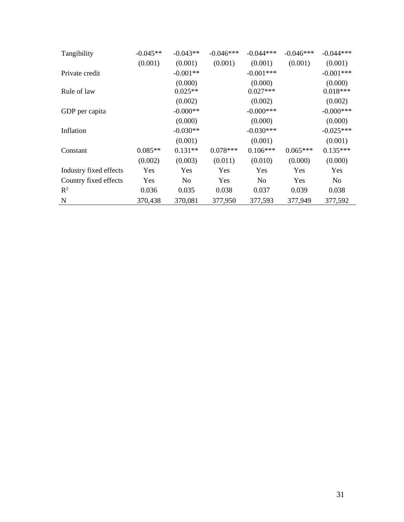| Tangibility            | $-0.045**$ | $-0.043**$     | $-0.046***$ | $-0.044***$    | $-0.046***$ | $-0.044***$    |
|------------------------|------------|----------------|-------------|----------------|-------------|----------------|
|                        | (0.001)    | (0.001)        | (0.001)     | (0.001)        | (0.001)     | (0.001)        |
| Private credit         |            | $-0.001**$     |             | $-0.001***$    |             | $-0.001***$    |
|                        |            | (0.000)        |             | (0.000)        |             | (0.000)        |
| Rule of law            |            | $0.025**$      |             | $0.027***$     |             | $0.018***$     |
|                        |            | (0.002)        |             | (0.002)        |             | (0.002)        |
| GDP per capita         |            | $-0.000**$     |             | $-0.000***$    |             | $-0.000$ ***   |
|                        |            | (0.000)        |             | (0.000)        |             | (0.000)        |
| Inflation              |            | $-0.030**$     |             | $-0.030***$    |             | $-0.025***$    |
|                        |            | (0.001)        |             | (0.001)        |             | (0.001)        |
| Constant               | $0.085**$  | $0.131**$      | $0.078***$  | $0.106***$     | $0.065***$  | $0.135***$     |
|                        | (0.002)    | (0.003)        | (0.011)     | (0.010)        | (0.000)     | (0.000)        |
| Industry fixed effects | Yes        | Yes            | Yes         | Yes            | Yes         | Yes            |
| Country fixed effects  | Yes        | N <sub>0</sub> | Yes         | N <sub>0</sub> | Yes         | N <sub>0</sub> |
| $\mathbb{R}^2$         | 0.036      | 0.035          | 0.038       | 0.037          | 0.039       | 0.038          |
| N                      | 370,438    | 370,081        | 377,950     | 377,593        | 377,949     | 377,592        |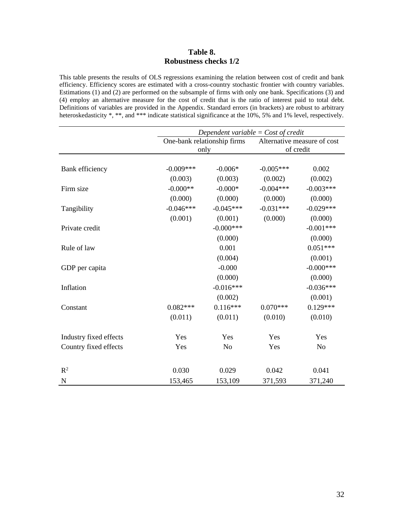#### **Table 8. Robustness checks 1/2**

This table presents the results of OLS regressions examining the relation between cost of credit and bank efficiency. Efficiency scores are estimated with a cross-country stochastic frontier with country variables. Estimations (1) and (2) are performed on the subsample of firms with only one bank. Specifications (3) and (4) employ an alternative measure for the cost of credit that is the ratio of interest paid to total debt. Definitions of variables are provided in the Appendix. Standard errors (in brackets) are robust to arbitrary heteroskedasticity \*, \*\*, and \*\*\* indicate statistical significance at the 10%, 5% and 1% level, respectively.

|                        | Dependent variable = $Cost$ of credit |                             |             |                             |  |  |
|------------------------|---------------------------------------|-----------------------------|-------------|-----------------------------|--|--|
|                        |                                       | One-bank relationship firms |             | Alternative measure of cost |  |  |
|                        |                                       | only                        | of credit   |                             |  |  |
|                        |                                       |                             |             |                             |  |  |
| Bank efficiency        | $-0.009***$                           | $-0.006*$                   | $-0.005***$ | 0.002                       |  |  |
|                        | (0.003)                               | (0.003)                     | (0.002)     | (0.002)                     |  |  |
| Firm size              | $-0.000**$                            | $-0.000*$                   | $-0.004***$ | $-0.003***$                 |  |  |
|                        | (0.000)                               | (0.000)                     | (0.000)     | (0.000)                     |  |  |
| Tangibility            | $-0.046***$                           | $-0.045***$                 | $-0.031***$ | $-0.029***$                 |  |  |
|                        | (0.001)                               | (0.001)                     | (0.000)     | (0.000)                     |  |  |
| Private credit         |                                       | $-0.000$ ***                |             | $-0.001***$                 |  |  |
|                        |                                       | (0.000)                     |             | (0.000)                     |  |  |
| Rule of law            |                                       | 0.001                       |             | $0.051***$                  |  |  |
|                        |                                       | (0.004)                     |             | (0.001)                     |  |  |
| GDP per capita         |                                       | $-0.000$                    |             | $-0.000$ ***                |  |  |
|                        |                                       | (0.000)                     |             | (0.000)                     |  |  |
| Inflation              |                                       | $-0.016***$                 |             | $-0.036***$                 |  |  |
|                        |                                       | (0.002)                     |             | (0.001)                     |  |  |
| Constant               | $0.082***$                            | $0.116***$                  | $0.070***$  | $0.129***$                  |  |  |
|                        | (0.011)                               | (0.011)                     | (0.010)     | (0.010)                     |  |  |
|                        |                                       |                             |             |                             |  |  |
| Industry fixed effects | Yes                                   | Yes                         | Yes         | Yes                         |  |  |
| Country fixed effects  | Yes                                   | N <sub>o</sub>              | Yes         | N <sub>o</sub>              |  |  |
|                        |                                       |                             |             |                             |  |  |
| R <sup>2</sup>         | 0.030                                 | 0.029                       | 0.042       | 0.041                       |  |  |
| N                      | 153,465                               | 153,109                     | 371,593     | 371,240                     |  |  |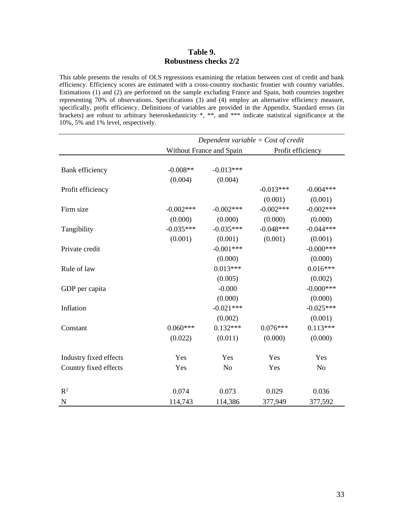#### **Table 9. Robustness checks 2/2**

This table presents the results of OLS regressions examining the relation between cost of credit and bank efficiency. Efficiency scores are estimated with a cross-country stochastic frontier with country variables. Estimations (1) and (2) are performed on the sample excluding France and Spain, both countries together representing 70% of observations. Specifications (3) and (4) employ an alternative efficiency measure, specifically, profit efficiency. Definitions of variables are provided in the Appendix. Standard errors (in brackets) are robust to arbitrary heteroskedasticity \*, \*\*, and \*\*\* indicate statistical significance at the 10%, 5% and 1% level, respectively.

|                        |              | Dependent variable = $Cost$ of credit |             |                   |  |  |
|------------------------|--------------|---------------------------------------|-------------|-------------------|--|--|
|                        |              | Without France and Spain              |             | Profit efficiency |  |  |
|                        |              |                                       |             |                   |  |  |
| Bank efficiency        | $-0.008**$   | $-0.013***$                           |             |                   |  |  |
|                        | (0.004)      | (0.004)                               |             |                   |  |  |
| Profit efficiency      |              |                                       | $-0.013***$ | $-0.004***$       |  |  |
|                        |              |                                       | (0.001)     | (0.001)           |  |  |
| Firm size              | $-0.002$ *** | $-0.002***$                           | $-0.002***$ | $-0.002***$       |  |  |
|                        | (0.000)      | (0.000)                               | (0.000)     | (0.000)           |  |  |
| Tangibility            | $-0.035***$  | $-0.035***$                           | $-0.048***$ | $-0.044***$       |  |  |
|                        | (0.001)      | (0.001)                               | (0.001)     | (0.001)           |  |  |
| Private credit         |              | $-0.001***$                           |             | $-0.000$ ***      |  |  |
|                        |              | (0.000)                               |             | (0.000)           |  |  |
| Rule of law            |              | $0.013***$                            |             | $0.016***$        |  |  |
|                        |              | (0.005)                               |             | (0.002)           |  |  |
| GDP per capita         |              | $-0.000$                              |             | $-0.000$ ***      |  |  |
|                        |              | (0.000)                               |             | (0.000)           |  |  |
| Inflation              |              | $-0.021***$                           |             | $-0.025***$       |  |  |
|                        |              | (0.002)                               |             | (0.001)           |  |  |
| Constant               | $0.060***$   | $0.132***$                            | $0.076***$  | $0.113***$        |  |  |
|                        | (0.022)      | (0.011)                               | (0.000)     | (0.000)           |  |  |
| Industry fixed effects | Yes          | Yes                                   | Yes         | Yes               |  |  |
| Country fixed effects  | Yes          | N <sub>o</sub>                        | Yes         | N <sub>0</sub>    |  |  |
| $\mathbb{R}^2$         | 0.074        | 0.073                                 | 0.029       | 0.036             |  |  |
| $\mathbf N$            | 114,743      | 114,386                               | 377,949     | 377,592           |  |  |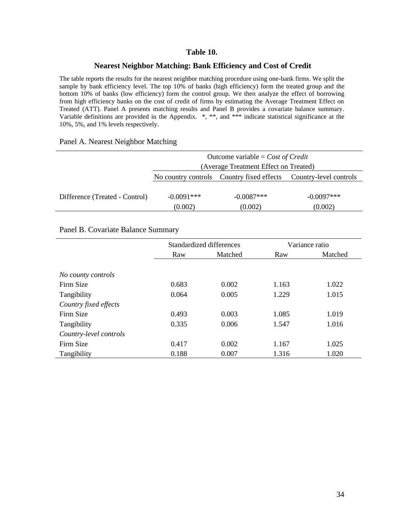#### **Table 10.**

#### **Nearest Neighbor Matching: Bank Efficiency and Cost of Credit**

The table reports the results for the nearest neighbor matching procedure using one-bank firms. We split the sample by bank efficiency level. The top 10% of banks (high efficiency) form the treated group and the bottom 10% of banks (low efficiency) form the control group. We then analyze the effect of borrowing from high efficiency banks on the cost of credit of firms by estimating the Average Treatment Effect on Treated (ATT). Panel A presents matching results and Panel B provides a covariate balance summary. Variable definitions are provided in the Appendix. \*, \*\*, and \*\*\* indicate statistical significance at the 10%, 5%, and 1% levels respectively.

#### Panel A. Nearest Neighbor Matching

|                                | Outcome variable = $Cost of Credit$   |              |                                                                  |  |  |
|--------------------------------|---------------------------------------|--------------|------------------------------------------------------------------|--|--|
|                                | (Average Treatment Effect on Treated) |              |                                                                  |  |  |
|                                |                                       |              | No country controls Country fixed effects Country-level controls |  |  |
|                                |                                       |              |                                                                  |  |  |
| Difference (Treated - Control) | $-0.0091***$                          | $-0.0087***$ | $-0.0097***$                                                     |  |  |
|                                | (0.002)                               | (0.002)      | (0.002)                                                          |  |  |

#### Panel B. Covariate Balance Summary

|                        | Standardized differences |         |       | Variance ratio |
|------------------------|--------------------------|---------|-------|----------------|
|                        | Raw                      | Matched | Raw   | Matched        |
|                        |                          |         |       |                |
| No county controls     |                          |         |       |                |
| Firm Size              | 0.683                    | 0.002   | 1.163 | 1.022          |
| Tangibility            | 0.064                    | 0.005   | 1.229 | 1.015          |
| Country fixed effects  |                          |         |       |                |
| Firm Size              | 0.493                    | 0.003   | 1.085 | 1.019          |
| Tangibility            | 0.335                    | 0.006   | 1.547 | 1.016          |
| Country-level controls |                          |         |       |                |
| Firm Size              | 0.417                    | 0.002   | 1.167 | 1.025          |
| Tangibility            | 0.188                    | 0.007   | 1.316 | 1.020          |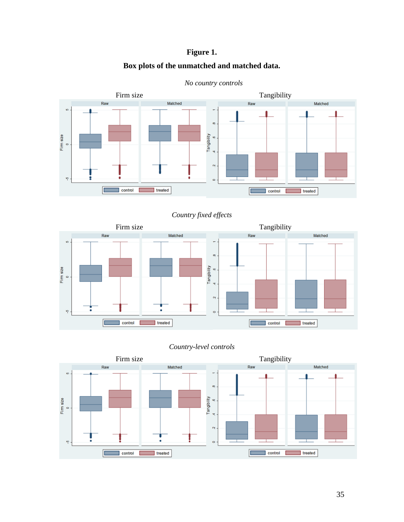### **Figure 1.**

#### **Box plots of the unmatched and matched data.**



*No country controls*

#### *Country fixed effects*



#### *Country-level controls*

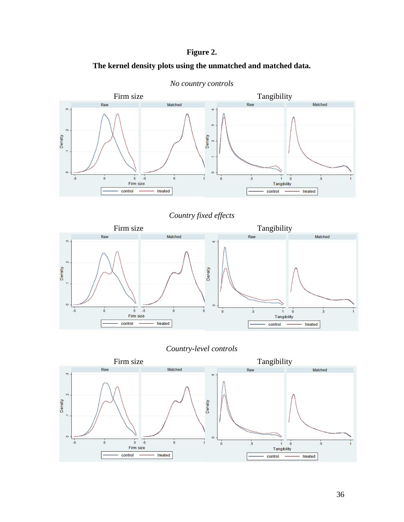#### **Figure 2.**





*No country controls*

#### *Country fixed effects*



*Country-level controls*